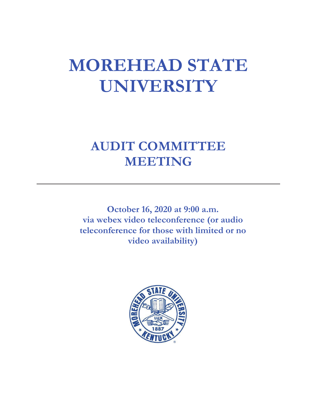# **MOREHEAD STATE UNIVERSITY**

# **AUDIT COMMITTEE MEETING**

**October 16, 2020 at 9:00 a.m. via webex video teleconference (or audio teleconference for those with limited or no video availability)**

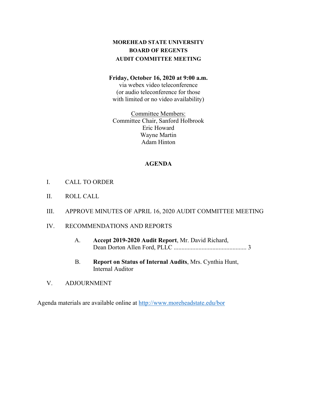# **MOREHEAD STATE UNIVERSITY BOARD OF REGENTS AUDIT COMMITTEE MEETING**

#### **Friday, October 16, 2020 at 9:00 a.m.**

via webex video teleconference (or audio teleconference for those with limited or no video availability)

Committee Members: Committee Chair, Sanford Holbrook Eric Howard Wayne Martin Adam Hinton

#### **AGENDA**

- I. CALL TO ORDER
- II. ROLL CALL
- III. APPROVE MINUTES OF APRIL 16, 2020 AUDIT COMMITTEE MEETING
- IV. RECOMMENDATIONS AND REPORTS
	- A. **Accept 2019-2020 Audit Report**, Mr. David Richard, Dean Dorton Allen Ford, PLLC ............................................... 3
	- B. **Report on Status of Internal Audits**, Mrs. Cynthia Hunt, Internal Auditor
- V. ADJOURNMENT

Agenda materials are available online at<http://www.moreheadstate.edu/bor>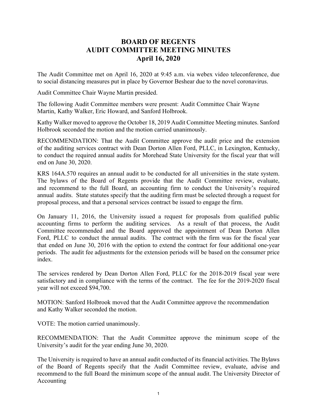# **BOARD OF REGENTS AUDIT COMMITTEE MEETING MINUTES April 16, 2020**

The Audit Committee met on April 16, 2020 at 9:45 a.m. via webex video teleconference, due to social distancing measures put in place by Governor Beshear due to the novel coronavirus.

Audit Committee Chair Wayne Martin presided.

The following Audit Committee members were present: Audit Committee Chair Wayne Martin, Kathy Walker, Eric Howard, and Sanford Holbrook.

Kathy Walker moved to approve the October 18, 2019 Audit Committee Meeting minutes. Sanford Holbrook seconded the motion and the motion carried unanimously.

RECOMMENDATION: That the Audit Committee approve the audit price and the extension of the auditing services contract with Dean Dorton Allen Ford, PLLC, in Lexington, Kentucky, to conduct the required annual audits for Morehead State University for the fiscal year that will end on June 30, 2020.

KRS 164A.570 requires an annual audit to be conducted for all universities in the state system. The bylaws of the Board of Regents provide that the Audit Committee review, evaluate, and recommend to the full Board, an accounting firm to conduct the University's required annual audits. State statutes specify that the auditing firm must be selected through a request for proposal process, and that a personal services contract be issued to engage the firm.

On January 11, 2016, the University issued a request for proposals from qualified public accounting firms to perform the auditing services. As a result of that process, the Audit Committee recommended and the Board approved the appointment of Dean Dorton Allen Ford, PLLC to conduct the annual audits. The contract with the firm was for the fiscal year that ended on June 30, 2016 with the option to extend the contract for four additional one-year periods. The audit fee adjustments for the extension periods will be based on the consumer price index.

The services rendered by Dean Dorton Allen Ford, PLLC for the 2018-2019 fiscal year were satisfactory and in compliance with the terms of the contract. The fee for the 2019-2020 fiscal year will not exceed \$94,700.

MOTION: Sanford Holbrook moved that the Audit Committee approve the recommendation and Kathy Walker seconded the motion.

VOTE: The motion carried unanimously.

RECOMMENDATION: That the Audit Committee approve the minimum scope of the University's audit for the year ending June 30, 2020.

The University is required to have an annual audit conducted of its financial activities. The Bylaws of the Board of Regents specify that the Audit Committee review, evaluate, advise and recommend to the full Board the minimum scope of the annual audit. The University Director of Accounting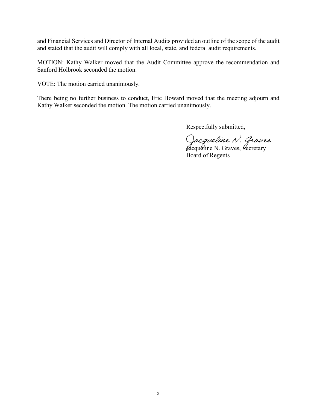and Financial Services and Director of Internal Audits provided an outline of the scope of the audit and stated that the audit will comply with all local, state, and federal audit requirements.

MOTION: Kathy Walker moved that the Audit Committee approve the recommendation and Sanford Holbrook seconded the motion.

VOTE: The motion carried unanimously.

There being no further business to conduct, Eric Howard moved that the meeting adjourn and Kathy Walker seconded the motion. The motion carried unanimously.

Respectfully submitted,

Jacqueline N. Graves

Jacqueline N. Graves, Secretary Board of Regents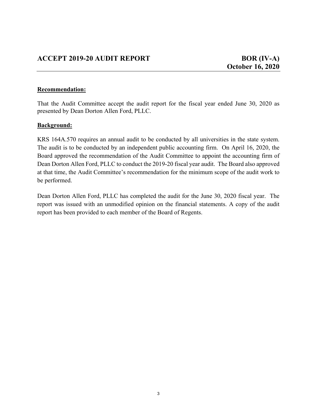### **Recommendation:**

That the Audit Committee accept the audit report for the fiscal year ended June 30, 2020 as presented by Dean Dorton Allen Ford, PLLC.

## **Background:**

KRS 164A.570 requires an annual audit to be conducted by all universities in the state system. The audit is to be conducted by an independent public accounting firm. On April 16, 2020, the Board approved the recommendation of the Audit Committee to appoint the accounting firm of Dean Dorton Allen Ford, PLLC to conduct the 2019-20 fiscal year audit. The Board also approved at that time, the Audit Committee's recommendation for the minimum scope of the audit work to be performed.

Dean Dorton Allen Ford, PLLC has completed the audit for the June 30, 2020 fiscal year. The report was issued with an unmodified opinion on the financial statements. A copy of the audit report has been provided to each member of the Board of Regents.